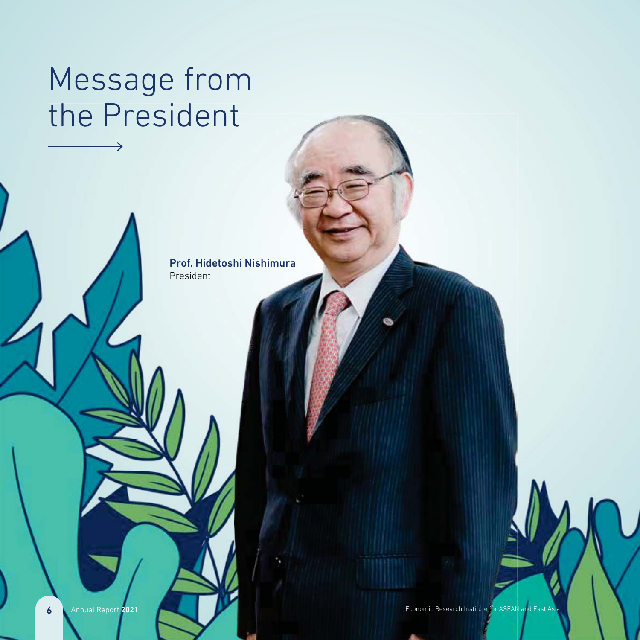## Message from the President

Prof. Hidetoshi Nishimura President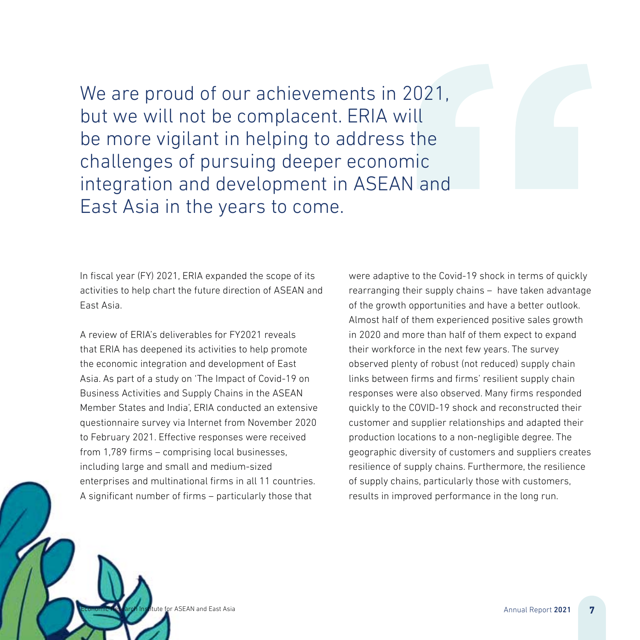We are proud of our achievements in 2021, but we will not be complacent. ERIA will be more vigilant in helping to address the challenges of pursuing deeper economic integration and development in ASEAN and East Asia in the years to come.

In fiscal year (FY) 2021, ERIA expanded the scope of its activities to help chart the future direction of ASEAN and East Asia.

A review of ERIA's deliverables for FY2021 reveals that ERIA has deepened its activities to help promote the economic integration and development of East Asia. As part of a study on 'The Impact of Covid-19 on Business Activities and Supply Chains in the ASEAN Member States and India', ERIA conducted an extensive questionnaire survey via Internet from November 2020 to February 2021. Effective responses were received from 1,789 firms – comprising local businesses, including large and small and medium-sized enterprises and multinational firms in all 11 countries. A significant number of firms – particularly those that

were adaptive to the Covid-19 shock in terms of quickly rearranging their supply chains – have taken advantage of the growth opportunities and have a better outlook. Almost half of them experienced positive sales growth in 2020 and more than half of them expect to expand their workforce in the next few years. The survey observed plenty of robust (not reduced) supply chain links between firms and firms' resilient supply chain responses were also observed. Many firms responded quickly to the COVID-19 shock and reconstructed their customer and supplier relationships and adapted their production locations to a non-negligible degree. The geographic diversity of customers and suppliers creates resilience of supply chains. Furthermore, the resilience of supply chains, particularly those with customers, results in improved performance in the long run.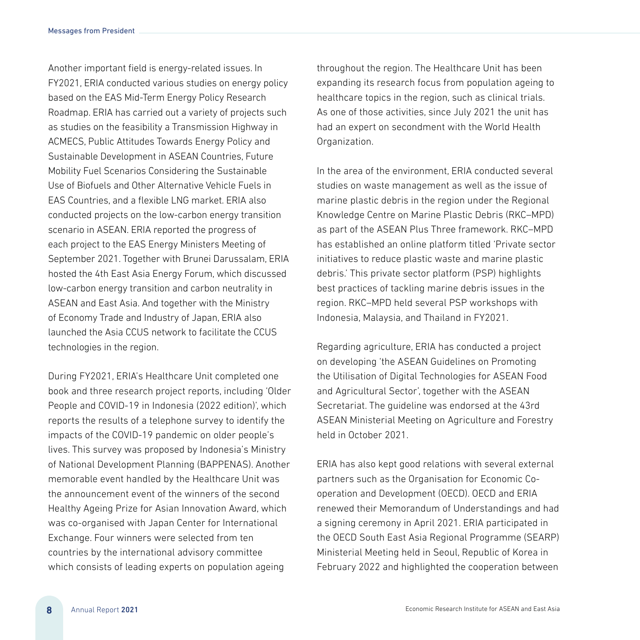Another important field is energy-related issues. In FY2021, ERIA conducted various studies on energy policy based on the EAS Mid-Term Energy Policy Research Roadmap. ERIA has carried out a variety of projects such as studies on the feasibility a Transmission Highway in ACMECS, Public Attitudes Towards Energy Policy and Sustainable Development in ASEAN Countries, Future Mobility Fuel Scenarios Considering the Sustainable Use of Biofuels and Other Alternative Vehicle Fuels in EAS Countries, and a flexible LNG market. ERIA also conducted projects on the low-carbon energy transition scenario in ASEAN. ERIA reported the progress of each project to the EAS Energy Ministers Meeting of September 2021. Together with Brunei Darussalam, ERIA hosted the 4th East Asia Energy Forum, which discussed low-carbon energy transition and carbon neutrality in ASEAN and East Asia. And together with the Ministry of Economy Trade and Industry of Japan, ERIA also launched the Asia CCUS network to facilitate the CCUS technologies in the region.

During FY2021, ERIA's Healthcare Unit completed one book and three research project reports, including 'Older People and COVID-19 in Indonesia (2022 edition)', which reports the results of a telephone survey to identify the impacts of the COVID-19 pandemic on older people's lives. This survey was proposed by Indonesia's Ministry of National Development Planning (BAPPENAS). Another memorable event handled by the Healthcare Unit was the announcement event of the winners of the second Healthy Ageing Prize for Asian Innovation Award, which was co-organised with Japan Center for International Exchange. Four winners were selected from ten countries by the international advisory committee which consists of leading experts on population ageing

throughout the region. The Healthcare Unit has been expanding its research focus from population ageing to healthcare topics in the region, such as clinical trials. As one of those activities, since July 2021 the unit has had an expert on secondment with the World Health Organization.

In the area of the environment, ERIA conducted several studies on waste management as well as the issue of marine plastic debris in the region under the Regional Knowledge Centre on Marine Plastic Debris (RKC–MPD) as part of the ASEAN Plus Three framework. RKC–MPD has established an online platform titled 'Private sector initiatives to reduce plastic waste and marine plastic debris.' This private sector platform (PSP) highlights best practices of tackling marine debris issues in the region. RKC–MPD held several PSP workshops with Indonesia, Malaysia, and Thailand in FY2021.

Regarding agriculture, ERIA has conducted a project on developing 'the ASEAN Guidelines on Promoting the Utilisation of Digital Technologies for ASEAN Food and Agricultural Sector', together with the ASEAN Secretariat. The guideline was endorsed at the 43rd ASEAN Ministerial Meeting on Agriculture and Forestry held in October 2021.

ERIA has also kept good relations with several external partners such as the Organisation for Economic Cooperation and Development (OECD). OECD and ERIA renewed their Memorandum of Understandings and had a signing ceremony in April 2021. ERIA participated in the OECD South East Asia Regional Programme (SEARP) Ministerial Meeting held in Seoul, Republic of Korea in February 2022 and highlighted the cooperation between